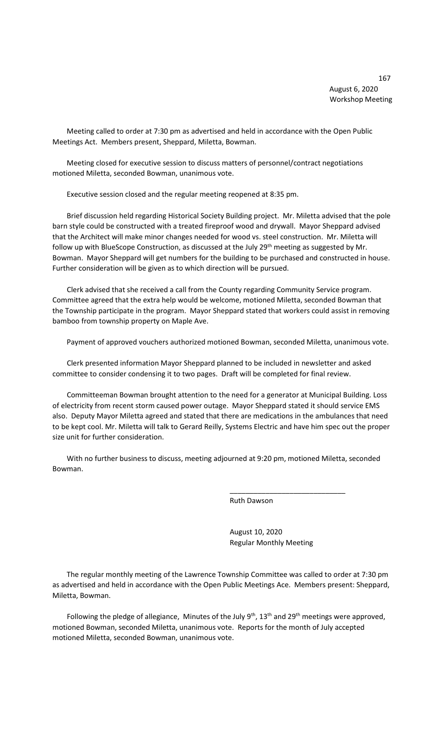167 August 6, 2020 Workshop Meeting

 Meeting called to order at 7:30 pm as advertised and held in accordance with the Open Public Meetings Act. Members present, Sheppard, Miletta, Bowman.

 Meeting closed for executive session to discuss matters of personnel/contract negotiations motioned Miletta, seconded Bowman, unanimous vote.

Executive session closed and the regular meeting reopened at 8:35 pm.

 Brief discussion held regarding Historical Society Building project. Mr. Miletta advised that the pole barn style could be constructed with a treated fireproof wood and drywall. Mayor Sheppard advised that the Architect will make minor changes needed for wood vs. steel construction. Mr. Miletta will follow up with BlueScope Construction, as discussed at the July 29<sup>th</sup> meeting as suggested by Mr. Bowman. Mayor Sheppard will get numbers for the building to be purchased and constructed in house. Further consideration will be given as to which direction will be pursued.

 Clerk advised that she received a call from the County regarding Community Service program. Committee agreed that the extra help would be welcome, motioned Miletta, seconded Bowman that the Township participate in the program. Mayor Sheppard stated that workers could assist in removing bamboo from township property on Maple Ave.

Payment of approved vouchers authorized motioned Bowman, seconded Miletta, unanimous vote.

 Clerk presented information Mayor Sheppard planned to be included in newsletter and asked committee to consider condensing it to two pages. Draft will be completed for final review.

 Committeeman Bowman brought attention to the need for a generator at Municipal Building. Loss of electricity from recent storm caused power outage. Mayor Sheppard stated it should service EMS also. Deputy Mayor Miletta agreed and stated that there are medications in the ambulances that need to be kept cool. Mr. Miletta will talk to Gerard Reilly, Systems Electric and have him spec out the proper size unit for further consideration.

 With no further business to discuss, meeting adjourned at 9:20 pm, motioned Miletta, seconded Bowman.

 $\overline{\phantom{a}}$  , and the contract of the contract of the contract of the contract of the contract of the contract of the contract of the contract of the contract of the contract of the contract of the contract of the contrac

Ruth Dawson

 August 10, 2020 Regular Monthly Meeting

 The regular monthly meeting of the Lawrence Township Committee was called to order at 7:30 pm as advertised and held in accordance with the Open Public Meetings Ace. Members present: Sheppard, Miletta, Bowman.

Following the pledge of allegiance, Minutes of the July  $9<sup>th</sup>$ , 13<sup>th</sup> and 29<sup>th</sup> meetings were approved, motioned Bowman, seconded Miletta, unanimous vote. Reports for the month of July accepted motioned Miletta, seconded Bowman, unanimous vote.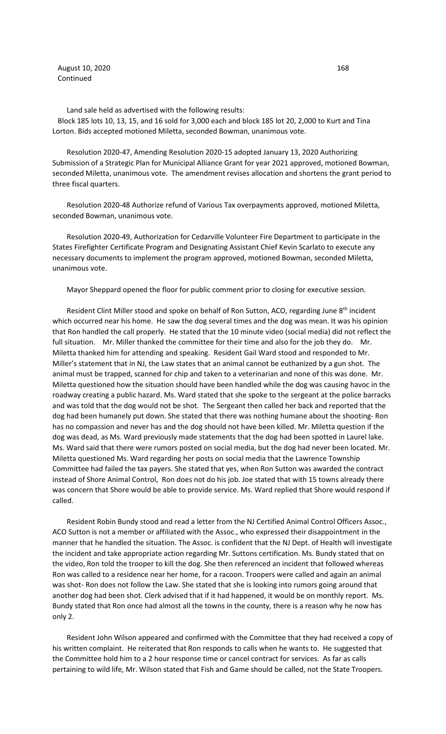August 10, 2020 168 Continued

 Land sale held as advertised with the following results: Block 185 lots 10, 13, 15, and 16 sold for 3,000 each and block 185 lot 20, 2,000 to Kurt and Tina Lorton. Bids accepted motioned Miletta, seconded Bowman, unanimous vote.

 Resolution 2020-47, Amending Resolution 2020-15 adopted January 13, 2020 Authorizing Submission of a Strategic Plan for Municipal Alliance Grant for year 2021 approved, motioned Bowman, seconded Miletta, unanimous vote. The amendment revises allocation and shortens the grant period to three fiscal quarters.

 Resolution 2020-48 Authorize refund of Various Tax overpayments approved, motioned Miletta, seconded Bowman, unanimous vote.

 Resolution 2020-49, Authorization for Cedarville Volunteer Fire Department to participate in the States Firefighter Certificate Program and Designating Assistant Chief Kevin Scarlato to execute any necessary documents to implement the program approved, motioned Bowman, seconded Miletta, unanimous vote.

Mayor Sheppard opened the floor for public comment prior to closing for executive session.

Resident Clint Miller stood and spoke on behalf of Ron Sutton, ACO, regarding June  $8<sup>th</sup>$  incident which occurred near his home. He saw the dog several times and the dog was mean. It was his opinion that Ron handled the call properly. He stated that the 10 minute video (social media) did not reflect the full situation. Mr. Miller thanked the committee for their time and also for the job they do. Mr. Miletta thanked him for attending and speaking. Resident Gail Ward stood and responded to Mr. Miller's statement that in NJ, the Law states that an animal cannot be euthanized by a gun shot. The animal must be trapped, scanned for chip and taken to a veterinarian and none of this was done. Mr. Miletta questioned how the situation should have been handled while the dog was causing havoc in the roadway creating a public hazard. Ms. Ward stated that she spoke to the sergeant at the police barracks and was told that the dog would not be shot. The Sergeant then called her back and reported that the dog had been humanely put down. She stated that there was nothing humane about the shooting- Ron has no compassion and never has and the dog should not have been killed. Mr. Miletta question if the dog was dead, as Ms. Ward previously made statements that the dog had been spotted in Laurel lake. Ms. Ward said that there were rumors posted on social media, but the dog had never been located. Mr. Miletta questioned Ms. Ward regarding her posts on social media that the Lawrence Township Committee had failed the tax payers. She stated that yes, when Ron Sutton was awarded the contract instead of Shore Animal Control, Ron does not do his job. Joe stated that with 15 towns already there was concern that Shore would be able to provide service. Ms. Ward replied that Shore would respond if called.

 Resident Robin Bundy stood and read a letter from the NJ Certified Animal Control Officers Assoc., ACO Sutton is not a member or affiliated with the Assoc., who expressed their disappointment in the manner that he handled the situation. The Assoc. is confident that the NJ Dept. of Health will investigate the incident and take appropriate action regarding Mr. Suttons certification. Ms. Bundy stated that on the video, Ron told the trooper to kill the dog. She then referenced an incident that followed whereas Ron was called to a residence near her home, for a racoon. Troopers were called and again an animal was shot- Ron does not follow the Law. She stated that she is looking into rumors going around that another dog had been shot. Clerk advised that if it had happened, it would be on monthly report. Ms. Bundy stated that Ron once had almost all the towns in the county, there is a reason why he now has only 2.

 Resident John Wilson appeared and confirmed with the Committee that they had received a copy of his written complaint. He reiterated that Ron responds to calls when he wants to. He suggested that the Committee hold him to a 2 hour response time or cancel contract for services. As far as calls pertaining to wild life, Mr. Wilson stated that Fish and Game should be called, not the State Troopers.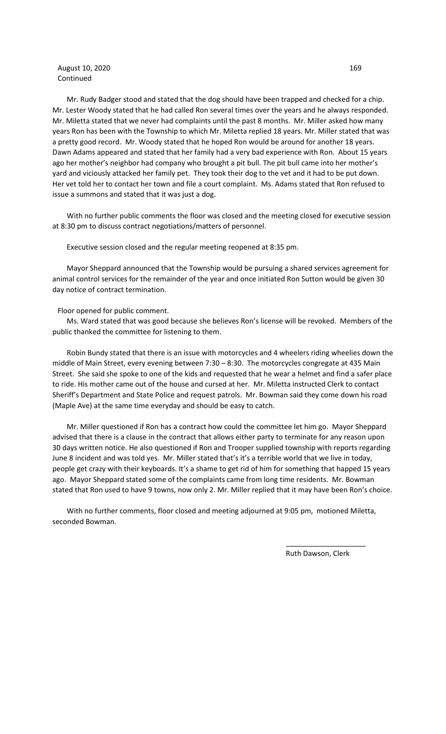## August 10, 2020 169 Continued

 Mr. Rudy Badger stood and stated that the dog should have been trapped and checked for a chip. Mr. Lester Woody stated that he had called Ron several times over the years and he always responded. Mr. Miletta stated that we never had complaints until the past 8 months. Mr. Miller asked how many years Ron has been with the Township to which Mr. Miletta replied 18 years. Mr. Miller stated that was a pretty good record. Mr. Woody stated that he hoped Ron would be around for another 18 years. Dawn Adams appeared and stated that her family had a very bad experience with Ron. About 15 years ago her mother's neighbor had company who brought a pit bull. The pit bull came into her mother's yard and viciously attacked her family pet. They took their dog to the vet and it had to be put down. Her vet told her to contact her town and file a court complaint. Ms. Adams stated that Ron refused to issue a summons and stated that it was just a dog.

 With no further public comments the floor was closed and the meeting closed for executive session at 8:30 pm to discuss contract negotiations/matters of personnel.

Executive session closed and the regular meeting reopened at 8:35 pm.

 Mayor Sheppard announced that the Township would be pursuing a shared services agreement for animal control services for the remainder of the year and once initiated Ron Sutton would be given 30 day notice of contract termination.

Floor opened for public comment.

 Ms. Ward stated that was good because she believes Ron's license will be revoked. Members of the public thanked the committee for listening to them.

 Robin Bundy stated that there is an issue with motorcycles and 4 wheelers riding wheelies down the middle of Main Street, every evening between 7:30 – 8:30. The motorcycles congregate at 435 Main Street. She said she spoke to one of the kids and requested that he wear a helmet and find a safer place to ride. His mother came out of the house and cursed at her. Mr. Miletta instructed Clerk to contact Sheriff's Department and State Police and request patrols. Mr. Bowman said they come down his road (Maple Ave) at the same time everyday and should be easy to catch.

 Mr. Miller questioned if Ron has a contract how could the committee let him go. Mayor Sheppard advised that there is a clause in the contract that allows either party to terminate for any reason upon 30 days written notice. He also questioned if Ron and Trooper supplied township with reports regarding June 8 incident and was told yes. Mr. Miller stated that's it's a terrible world that we live in today, people get crazy with their keyboards. It's a shame to get rid of him for something that happed 15 years ago. Mayor Sheppard stated some of the complaints came from long time residents. Mr. Bowman stated that Ron used to have 9 towns, now only 2. Mr. Miller replied that it may have been Ron's choice.

 With no further comments, floor closed and meeting adjourned at 9:05 pm, motioned Miletta, seconded Bowman.

 $\overline{\phantom{a}}$  , and the contract of the contract of the contract of the contract of the contract of the contract of the contract of the contract of the contract of the contract of the contract of the contract of the contrac

Ruth Dawson, Clerk